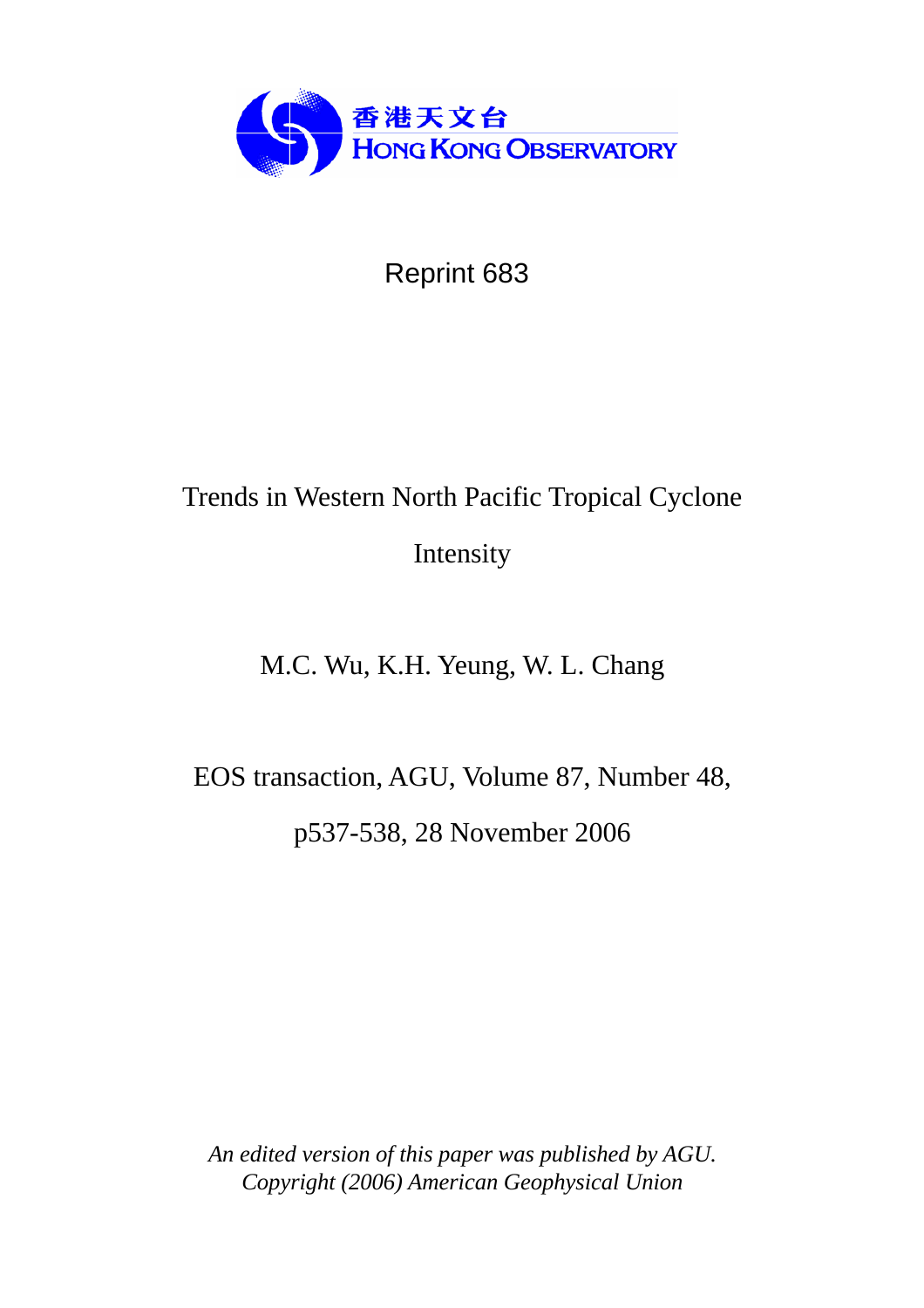

## Reprint 683

# Trends in Western North Pacific Tropical Cyclone Intensity

## M.C. Wu, K.H. Yeung, W. L. Chang

EOS transaction, AGU, Volume 87, Number 48, p537-538, 28 November 2006

*An edited version of this paper was published by AGU. Copyright (2006) American Geophysical Union*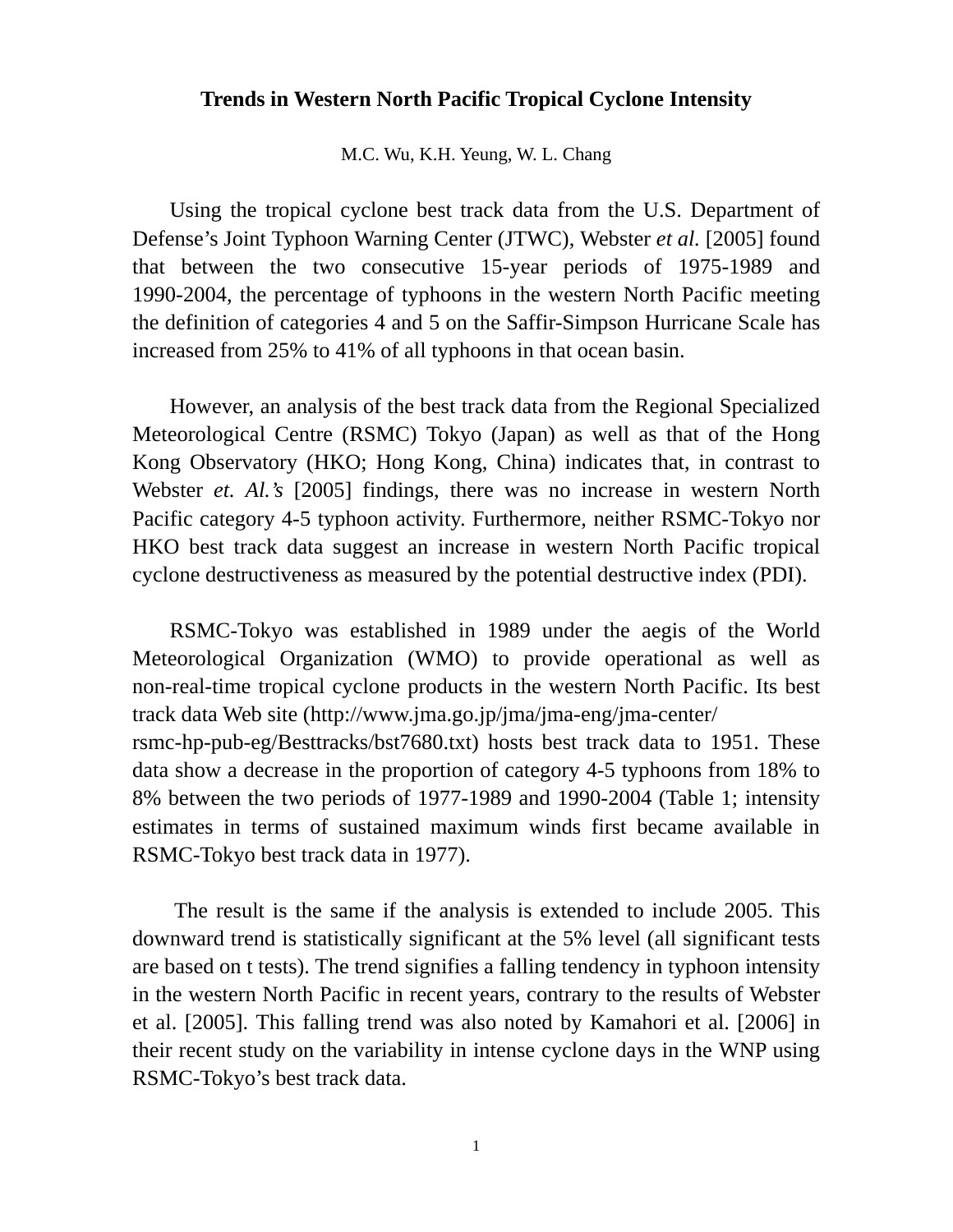#### **Trends in Western North Pacific Tropical Cyclone Intensity**

M.C. Wu, K.H. Yeung, W. L. Chang

Using the tropical cyclone best track data from the U.S. Department of Defense's Joint Typhoon Warning Center (JTWC), Webster *et al.* [2005] found that between the two consecutive 15-year periods of 1975-1989 and 1990-2004, the percentage of typhoons in the western North Pacific meeting the definition of categories 4 and 5 on the Saffir-Simpson Hurricane Scale has increased from 25% to 41% of all typhoons in that ocean basin.

However, an analysis of the best track data from the Regional Specialized Meteorological Centre (RSMC) Tokyo (Japan) as well as that of the Hong Kong Observatory (HKO; Hong Kong, China) indicates that, in contrast to Webster *et. Al.'s* [2005] findings, there was no increase in western North Pacific category 4-5 typhoon activity. Furthermore, neither RSMC-Tokyo nor HKO best track data suggest an increase in western North Pacific tropical cyclone destructiveness as measured by the potential destructive index (PDI).

RSMC-Tokyo was established in 1989 under the aegis of the World Meteorological Organization (WMO) to provide operational as well as non-real-time tropical cyclone products in the western North Pacific. Its best track data Web site (http://www.jma.go.jp/jma/jma-eng/jma-center/ rsmc-hp-pub-eg/Besttracks/bst7680.txt) hosts best track data to 1951. These data show a decrease in the proportion of category 4-5 typhoons from 18% to 8% between the two periods of 1977-1989 and 1990-2004 (Table 1; intensity estimates in terms of sustained maximum winds first became available in RSMC-Tokyo best track data in 1977).

The result is the same if the analysis is extended to include 2005. This downward trend is statistically significant at the 5% level (all significant tests are based on t tests). The trend signifies a falling tendency in typhoon intensity in the western North Pacific in recent years, contrary to the results of Webster et al. [2005]. This falling trend was also noted by Kamahori et al. [2006] in their recent study on the variability in intense cyclone days in the WNP using RSMC-Tokyo's best track data.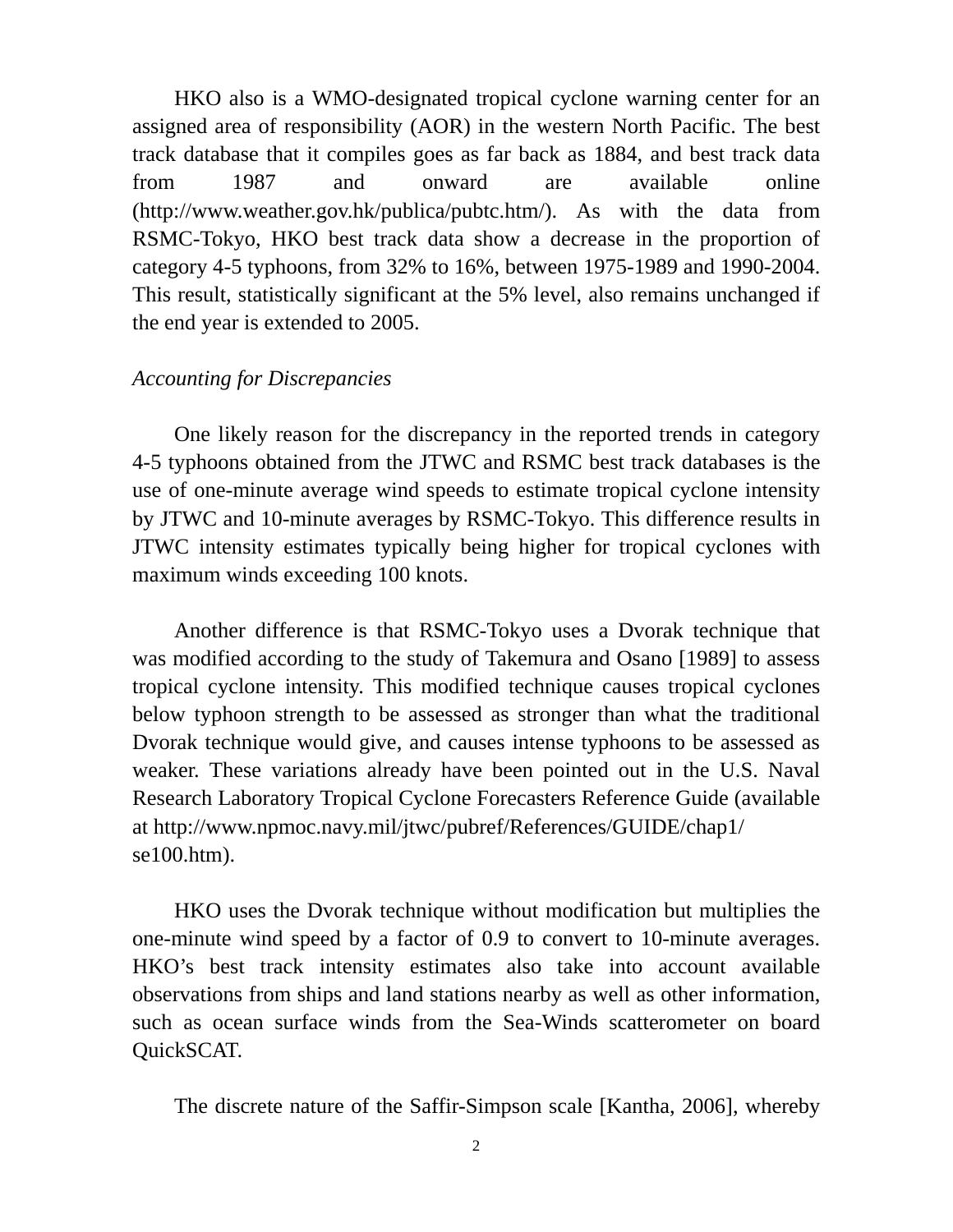HKO also is a WMO-designated tropical cyclone warning center for an assigned area of responsibility (AOR) in the western North Pacific. The best track database that it compiles goes as far back as 1884, and best track data from 1987 and onward are available online (http://www.weather.gov.hk/publica/pubtc.htm/). As with the data from RSMC-Tokyo, HKO best track data show a decrease in the proportion of category 4-5 typhoons, from 32% to 16%, between 1975-1989 and 1990-2004. This result, statistically significant at the 5% level, also remains unchanged if the end year is extended to 2005.

#### *Accounting for Discrepancies*

One likely reason for the discrepancy in the reported trends in category 4-5 typhoons obtained from the JTWC and RSMC best track databases is the use of one-minute average wind speeds to estimate tropical cyclone intensity by JTWC and 10-minute averages by RSMC-Tokyo. This difference results in JTWC intensity estimates typically being higher for tropical cyclones with maximum winds exceeding 100 knots.

Another difference is that RSMC-Tokyo uses a Dvorak technique that was modified according to the study of Takemura and Osano [1989] to assess tropical cyclone intensity. This modified technique causes tropical cyclones below typhoon strength to be assessed as stronger than what the traditional Dvorak technique would give, and causes intense typhoons to be assessed as weaker. These variations already have been pointed out in the U.S. Naval Research Laboratory Tropical Cyclone Forecasters Reference Guide (available at http://www.npmoc.navy.mil/jtwc/pubref/References/GUIDE/chap1/ se100.htm).

HKO uses the Dvorak technique without modification but multiplies the one-minute wind speed by a factor of 0.9 to convert to 10-minute averages. HKO's best track intensity estimates also take into account available observations from ships and land stations nearby as well as other information, such as ocean surface winds from the Sea-Winds scatterometer on board QuickSCAT.

The discrete nature of the Saffir-Simpson scale [Kantha, 2006], whereby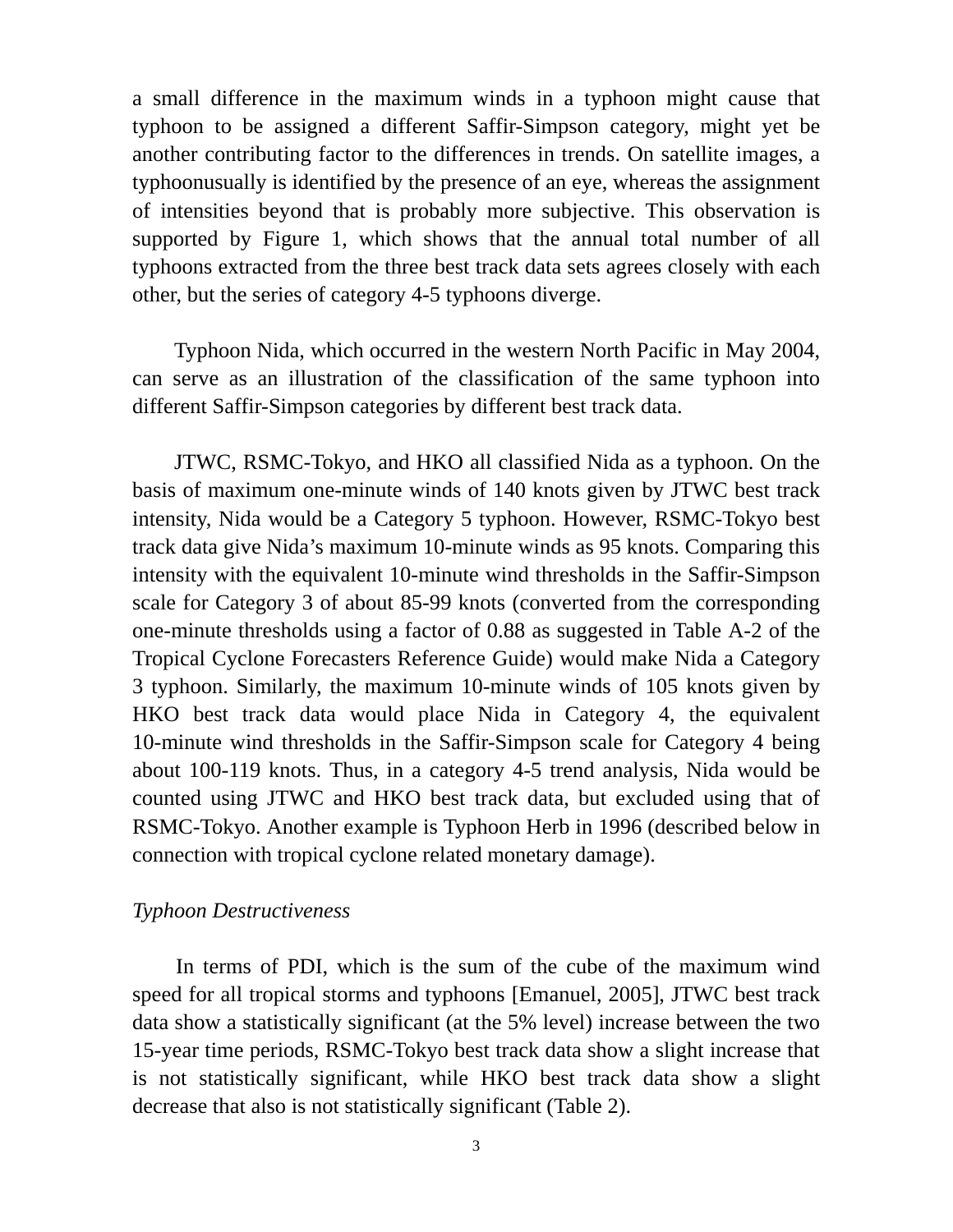a small difference in the maximum winds in a typhoon might cause that typhoon to be assigned a different Saffir-Simpson category, might yet be another contributing factor to the differences in trends. On satellite images, a typhoonusually is identified by the presence of an eye, whereas the assignment of intensities beyond that is probably more subjective. This observation is supported by Figure 1, which shows that the annual total number of all typhoons extracted from the three best track data sets agrees closely with each other, but the series of category 4-5 typhoons diverge.

Typhoon Nida, which occurred in the western North Pacific in May 2004, can serve as an illustration of the classification of the same typhoon into different Saffir-Simpson categories by different best track data.

JTWC, RSMC-Tokyo, and HKO all classified Nida as a typhoon. On the basis of maximum one-minute winds of 140 knots given by JTWC best track intensity, Nida would be a Category 5 typhoon. However, RSMC-Tokyo best track data give Nida's maximum 10-minute winds as 95 knots. Comparing this intensity with the equivalent 10-minute wind thresholds in the Saffir-Simpson scale for Category 3 of about 85-99 knots (converted from the corresponding one-minute thresholds using a factor of 0.88 as suggested in Table A-2 of the Tropical Cyclone Forecasters Reference Guide) would make Nida a Category 3 typhoon. Similarly, the maximum 10-minute winds of 105 knots given by HKO best track data would place Nida in Category 4, the equivalent 10-minute wind thresholds in the Saffir-Simpson scale for Category 4 being about 100-119 knots. Thus, in a category 4-5 trend analysis, Nida would be counted using JTWC and HKO best track data, but excluded using that of RSMC-Tokyo. Another example is Typhoon Herb in 1996 (described below in connection with tropical cyclone related monetary damage).

#### *Typhoon Destructiveness*

In terms of PDI, which is the sum of the cube of the maximum wind speed for all tropical storms and typhoons [Emanuel, 2005], JTWC best track data show a statistically significant (at the 5% level) increase between the two 15-year time periods, RSMC-Tokyo best track data show a slight increase that is not statistically significant, while HKO best track data show a slight decrease that also is not statistically significant (Table 2).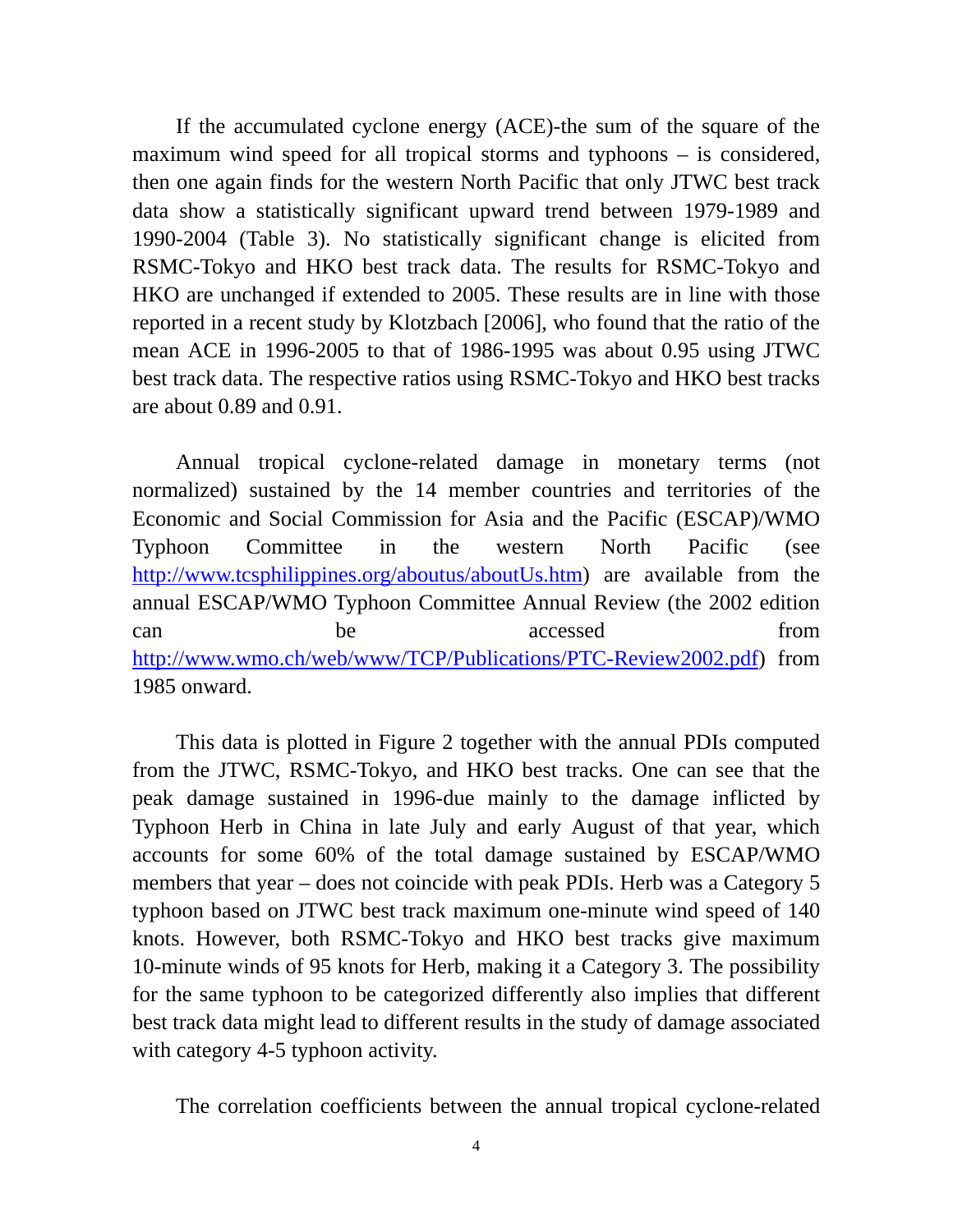If the accumulated cyclone energy (ACE)-the sum of the square of the maximum wind speed for all tropical storms and typhoons – is considered, then one again finds for the western North Pacific that only JTWC best track data show a statistically significant upward trend between 1979-1989 and 1990-2004 (Table 3). No statistically significant change is elicited from RSMC-Tokyo and HKO best track data. The results for RSMC-Tokyo and HKO are unchanged if extended to 2005. These results are in line with those reported in a recent study by Klotzbach [2006], who found that the ratio of the mean ACE in 1996-2005 to that of 1986-1995 was about 0.95 using JTWC best track data. The respective ratios using RSMC-Tokyo and HKO best tracks are about 0.89 and 0.91.

Annual tropical cyclone-related damage in monetary terms (not normalized) sustained by the 14 member countries and territories of the Economic and Social Commission for Asia and the Pacific (ESCAP)/WMO Typhoon Committee in the western North Pacific (see http://www.tcsphilippines.org/aboutus/aboutUs.htm) are available from the annual ESCAP/WMO Typhoon Committee Annual Review (the 2002 edition can be accessed from http://www.wmo.ch/web/www/TCP/Publications/PTC-Review2002.pdf) from 1985 onward.

This data is plotted in Figure 2 together with the annual PDIs computed from the JTWC, RSMC-Tokyo, and HKO best tracks. One can see that the peak damage sustained in 1996-due mainly to the damage inflicted by Typhoon Herb in China in late July and early August of that year, which accounts for some 60% of the total damage sustained by ESCAP/WMO members that year – does not coincide with peak PDIs. Herb was a Category 5 typhoon based on JTWC best track maximum one-minute wind speed of 140 knots. However, both RSMC-Tokyo and HKO best tracks give maximum 10-minute winds of 95 knots for Herb, making it a Category 3. The possibility for the same typhoon to be categorized differently also implies that different best track data might lead to different results in the study of damage associated with category 4-5 typhoon activity.

The correlation coefficients between the annual tropical cyclone-related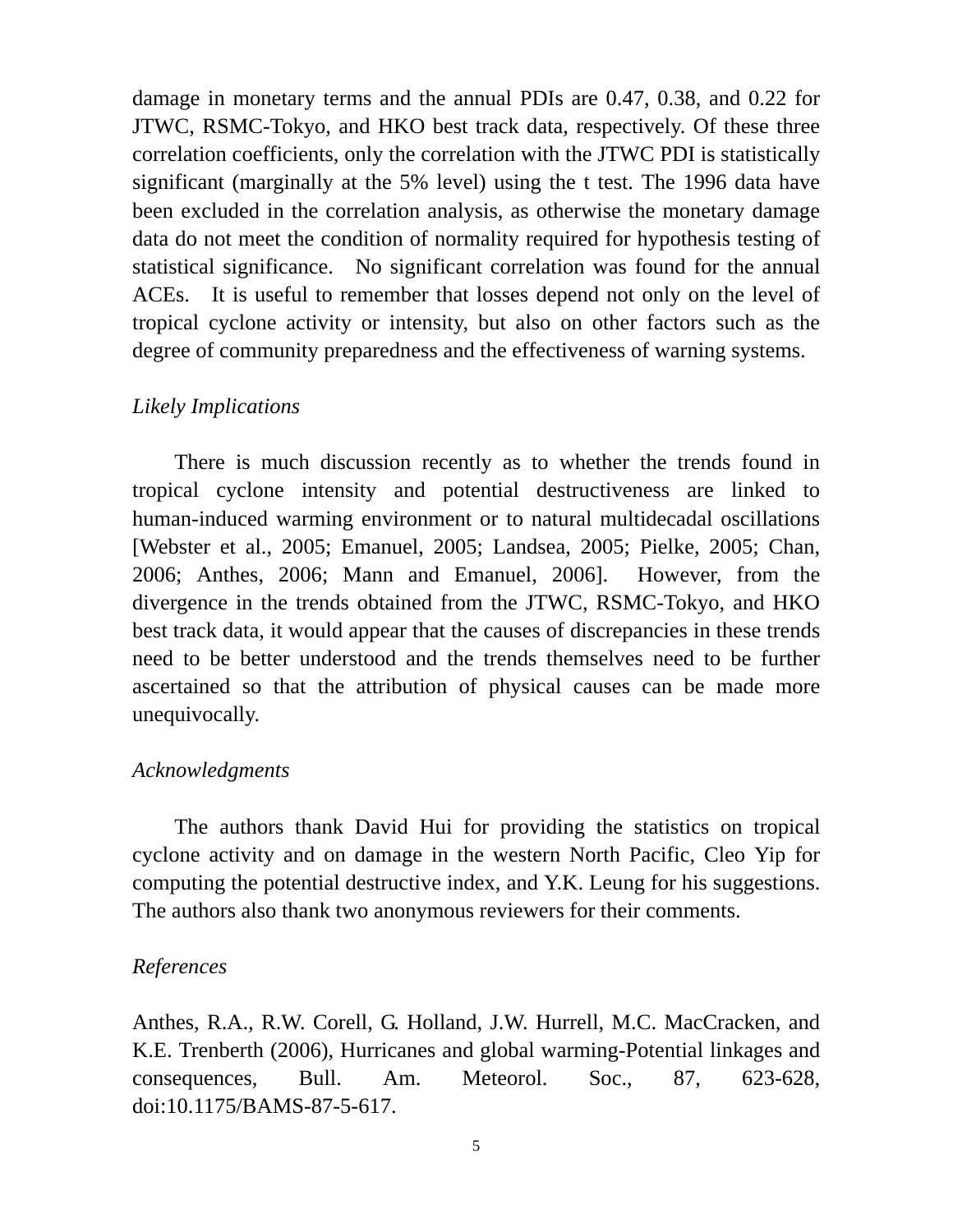damage in monetary terms and the annual PDIs are 0.47, 0.38, and 0.22 for JTWC, RSMC-Tokyo, and HKO best track data, respectively. Of these three correlation coefficients, only the correlation with the JTWC PDI is statistically significant (marginally at the 5% level) using the t test. The 1996 data have been excluded in the correlation analysis, as otherwise the monetary damage data do not meet the condition of normality required for hypothesis testing of statistical significance. No significant correlation was found for the annual ACEs. It is useful to remember that losses depend not only on the level of tropical cyclone activity or intensity, but also on other factors such as the degree of community preparedness and the effectiveness of warning systems.

### *Likely Implications*

 There is much discussion recently as to whether the trends found in tropical cyclone intensity and potential destructiveness are linked to human-induced warming environment or to natural multidecadal oscillations [Webster et al., 2005; Emanuel, 2005; Landsea, 2005; Pielke, 2005; Chan, 2006; Anthes, 2006; Mann and Emanuel, 2006]. However, from the divergence in the trends obtained from the JTWC, RSMC-Tokyo, and HKO best track data, it would appear that the causes of discrepancies in these trends need to be better understood and the trends themselves need to be further ascertained so that the attribution of physical causes can be made more unequivocally.

#### *Acknowledgments*

 The authors thank David Hui for providing the statistics on tropical cyclone activity and on damage in the western North Pacific, Cleo Yip for computing the potential destructive index, and Y.K. Leung for his suggestions. The authors also thank two anonymous reviewers for their comments.

#### *References*

Anthes, R.A., R.W. Corell, G. Holland, J.W. Hurrell, M.C. MacCracken, and K.E. Trenberth (2006), Hurricanes and global warming-Potential linkages and consequences, Bull. Am. Meteorol. Soc., 87, 623-628, doi:10.1175/BAMS-87-5-617.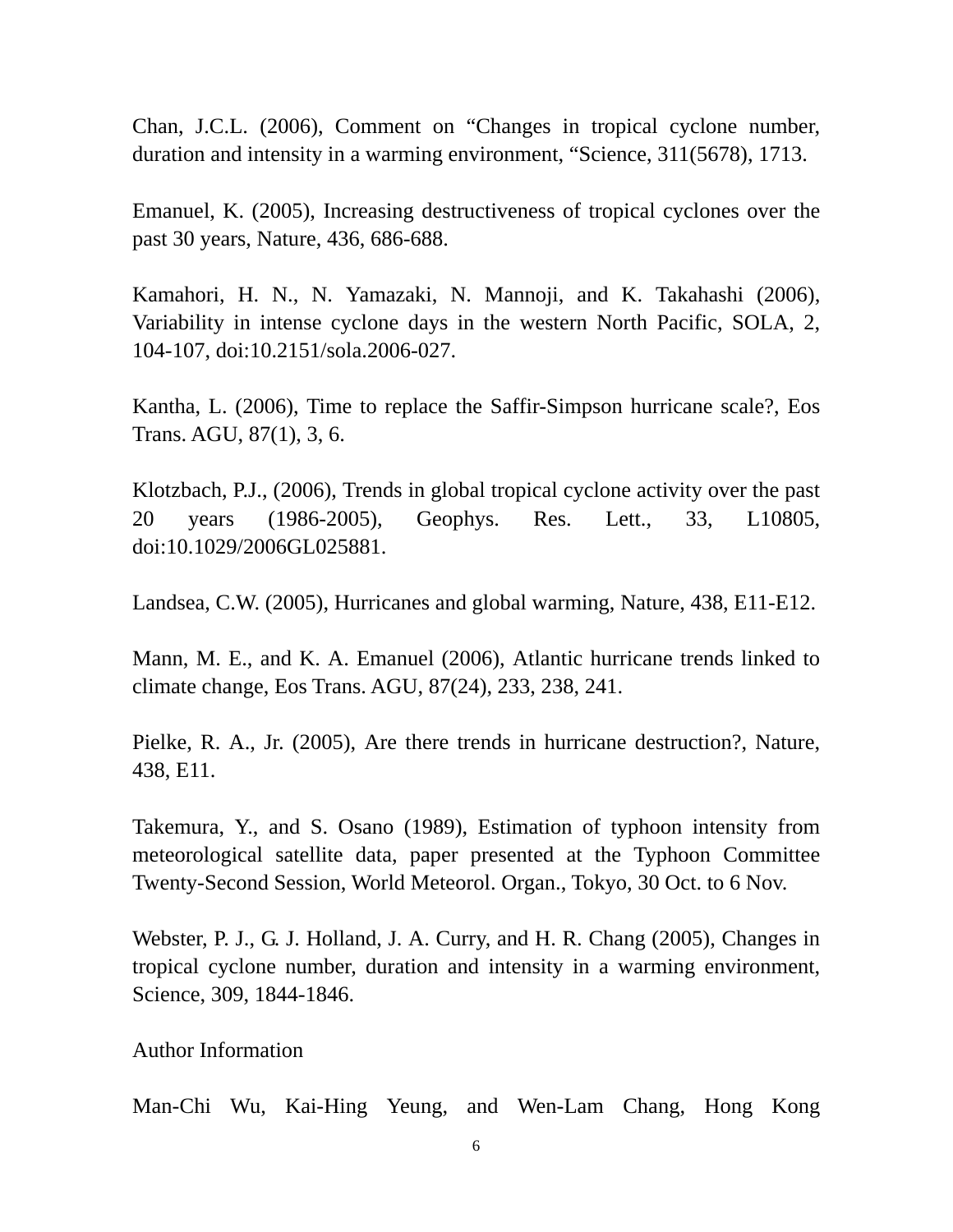Chan, J.C.L. (2006), Comment on "Changes in tropical cyclone number, duration and intensity in a warming environment, "Science, 311(5678), 1713.

Emanuel, K. (2005), Increasing destructiveness of tropical cyclones over the past 30 years, Nature, 436, 686-688.

Kamahori, H. N., N. Yamazaki, N. Mannoji, and K. Takahashi (2006), Variability in intense cyclone days in the western North Pacific, SOLA, 2, 104-107, doi:10.2151/sola.2006-027.

Kantha, L. (2006), Time to replace the Saffir-Simpson hurricane scale?, Eos Trans. AGU, 87(1), 3, 6.

Klotzbach, P.J., (2006), Trends in global tropical cyclone activity over the past 20 years (1986-2005), Geophys. Res. Lett., 33, L10805, doi:10.1029/2006GL025881.

Landsea, C.W. (2005), Hurricanes and global warming, Nature, 438, E11-E12.

Mann, M. E., and K. A. Emanuel (2006), Atlantic hurricane trends linked to climate change, Eos Trans. AGU, 87(24), 233, 238, 241.

Pielke, R. A., Jr. (2005), Are there trends in hurricane destruction?, Nature, 438, E11.

Takemura, Y., and S. Osano (1989), Estimation of typhoon intensity from meteorological satellite data, paper presented at the Typhoon Committee Twenty-Second Session, World Meteorol. Organ., Tokyo, 30 Oct. to 6 Nov.

Webster, P. J., G. J. Holland, J. A. Curry, and H. R. Chang (2005), Changes in tropical cyclone number, duration and intensity in a warming environment, Science, 309, 1844-1846.

Author Information

Man-Chi Wu, Kai-Hing Yeung, and Wen-Lam Chang, Hong Kong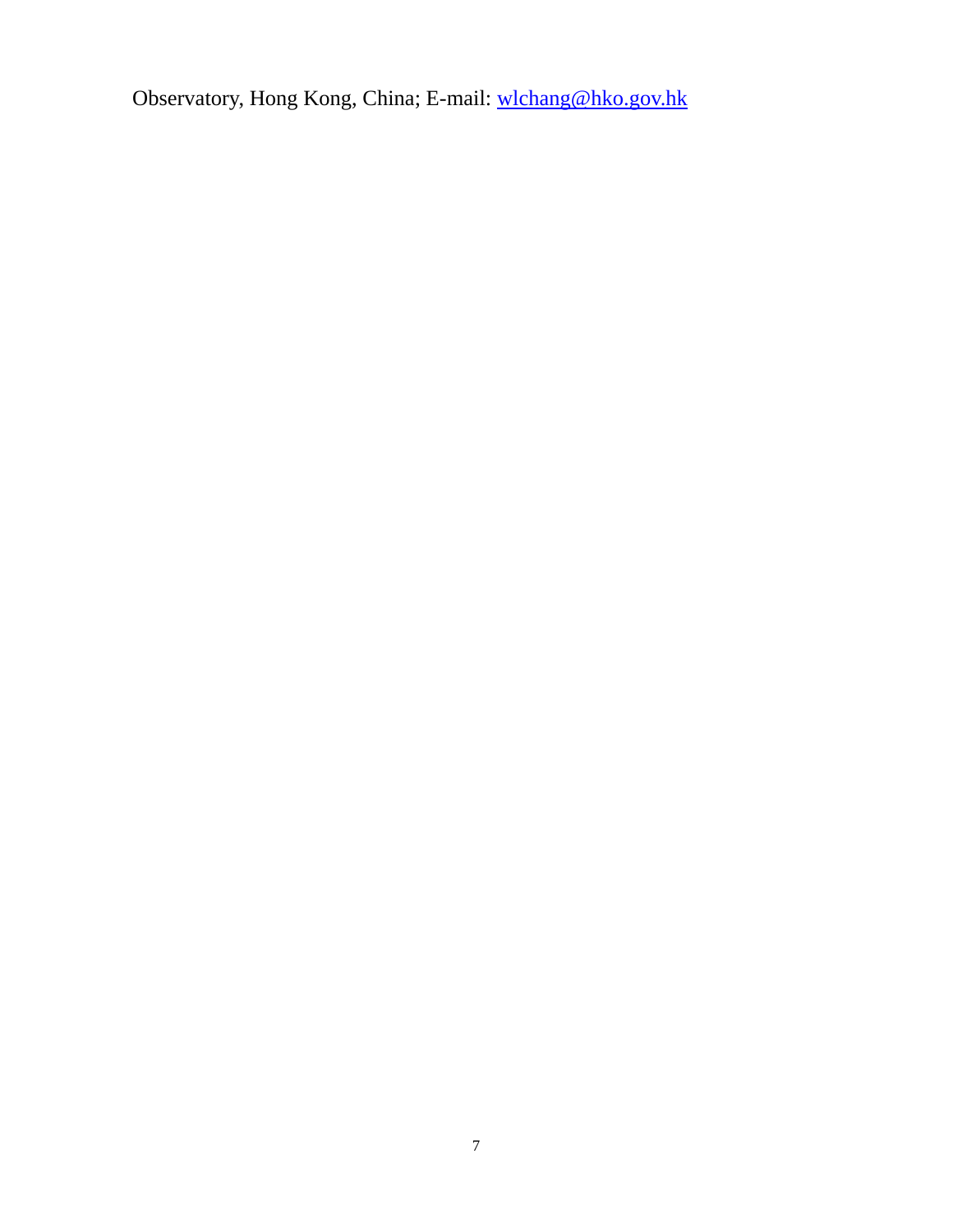Observatory, Hong Kong, China; E-mail: wlchang@hko.gov.hk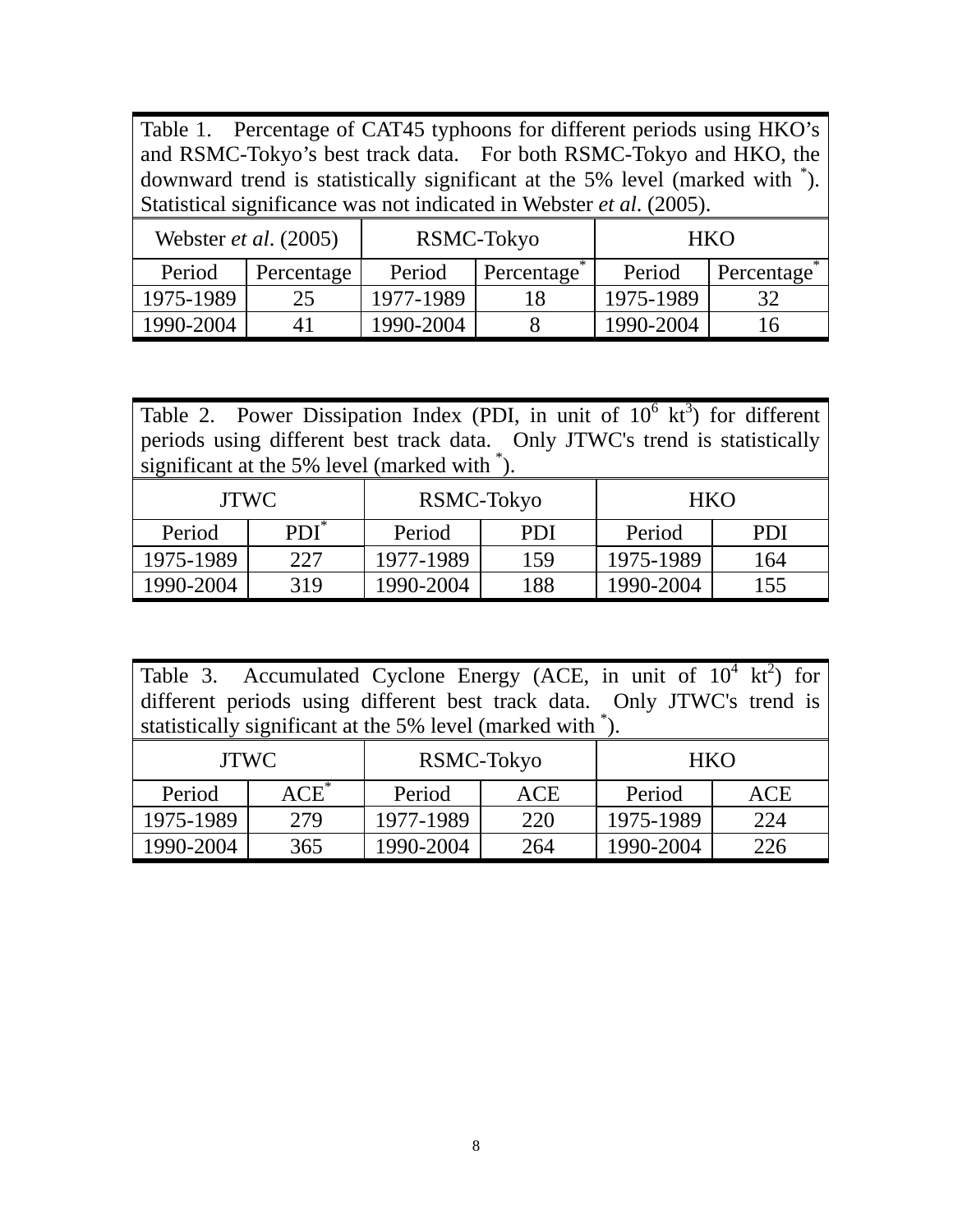Table 1. Percentage of CAT45 typhoons for different periods using HKO's and RSMC-Tokyo's best track data. For both RSMC-Tokyo and HKO, the downward trend is statistically significant at the 5% level (marked with \* ). Statistical significance was not indicated in Webster *et al*. (2005).

| Webster <i>et al.</i> (2005) |            |           | RSMC-Tokyo | <b>HKO</b> |            |  |
|------------------------------|------------|-----------|------------|------------|------------|--|
| Period                       | Percentage | Period    | Percentage | Period     | Percentage |  |
| 1975-1989                    | 25         | 1977-1989 |            | 1975-1989  | 32         |  |
| 1990-2004                    | 41         | 1990-2004 |            | 1990-2004  |            |  |

| Table 2. Power Dissipation Index (PDI, in unit of $10^6$ kt <sup>3</sup> ) for different |  |  |  |  |
|------------------------------------------------------------------------------------------|--|--|--|--|
| periods using different best track data. Only JTWC's trend is statistically              |  |  |  |  |
| significant at the 5% level (marked with $\hat{ }$ ).                                    |  |  |  |  |

| <b>JTWC</b> |         | RSMC-Tokyo |            | <b>HKO</b> |            |  |
|-------------|---------|------------|------------|------------|------------|--|
| Period      | $PDI^*$ | Period     | <b>PDI</b> | Period     | <b>PDI</b> |  |
| 1975-1989   | 227     | 1977-1989  | 159        | 1975-1989  | 164        |  |
| 1990-2004   | 319     | 1990-2004  | 188        | 1990-2004  | 155        |  |

Table 3. Accumulated Cyclone Energy (ACE, in unit of  $10^4 \text{ kt}^2$ ) for different periods using different best track data. Only JTWC's trend is statistically significant at the 5% level (marked with \*).

| <b>JTWC</b> |         |           | RSMC-Tokyo | <b>HKO</b> |     |  |
|-------------|---------|-----------|------------|------------|-----|--|
| Period      | $ACE^*$ | Period    | <b>ACE</b> | Period     | ACE |  |
| 1975-1989   | 279     | 1977-1989 | 220        | 1975-1989  | 224 |  |
| 1990-2004   | 365     | 1990-2004 | 264        | 1990-2004  | 226 |  |